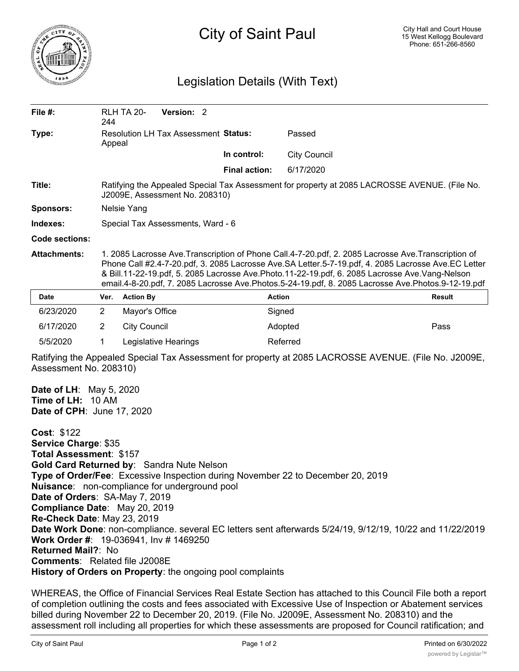

## City of Saint Paul

## Legislation Details (With Text)

| File $#$ :          | 244                                                                                                                                                                                                                                                                                                                                                                                                               | <b>RLH TA 20-</b>   | Version: 2           |  |                      |                     |        |
|---------------------|-------------------------------------------------------------------------------------------------------------------------------------------------------------------------------------------------------------------------------------------------------------------------------------------------------------------------------------------------------------------------------------------------------------------|---------------------|----------------------|--|----------------------|---------------------|--------|
| Type:               | <b>Resolution LH Tax Assessment Status:</b><br>Appeal                                                                                                                                                                                                                                                                                                                                                             |                     |                      |  |                      | Passed              |        |
|                     |                                                                                                                                                                                                                                                                                                                                                                                                                   |                     |                      |  | In control:          | <b>City Council</b> |        |
|                     |                                                                                                                                                                                                                                                                                                                                                                                                                   |                     |                      |  | <b>Final action:</b> | 6/17/2020           |        |
| Title:              | Ratifying the Appealed Special Tax Assessment for property at 2085 LACROSSE AVENUE. (File No.<br>J2009E, Assessment No. 208310)                                                                                                                                                                                                                                                                                   |                     |                      |  |                      |                     |        |
| <b>Sponsors:</b>    | Nelsie Yang                                                                                                                                                                                                                                                                                                                                                                                                       |                     |                      |  |                      |                     |        |
| Indexes:            | Special Tax Assessments, Ward - 6                                                                                                                                                                                                                                                                                                                                                                                 |                     |                      |  |                      |                     |        |
| Code sections:      |                                                                                                                                                                                                                                                                                                                                                                                                                   |                     |                      |  |                      |                     |        |
| <b>Attachments:</b> | 1. 2085 Lacrosse Ave.Transcription of Phone Call.4-7-20.pdf, 2. 2085 Lacrosse Ave.Transcription of<br>Phone Call #2.4-7-20.pdf, 3. 2085 Lacrosse Ave.SA Letter.5-7-19.pdf, 4. 2085 Lacrosse Ave.EC Letter<br>& Bill.11-22-19.pdf, 5. 2085 Lacrosse Ave.Photo.11-22-19.pdf, 6. 2085 Lacrosse Ave.Vang-Nelson<br>email.4-8-20.pdf, 7. 2085 Lacrosse Ave.Photos.5-24-19.pdf, 8. 2085 Lacrosse Ave.Photos.9-12-19.pdf |                     |                      |  |                      |                     |        |
| <b>Date</b>         | Ver.                                                                                                                                                                                                                                                                                                                                                                                                              | <b>Action By</b>    |                      |  |                      | <b>Action</b>       | Result |
| 6/23/2020           | $\overline{2}$                                                                                                                                                                                                                                                                                                                                                                                                    | Mayor's Office      |                      |  |                      | Signed              |        |
| 6/17/2020           | $\overline{2}$                                                                                                                                                                                                                                                                                                                                                                                                    | <b>City Council</b> |                      |  |                      | Adopted             | Pass   |
| 5/5/2020            | 1                                                                                                                                                                                                                                                                                                                                                                                                                 |                     | Legislative Hearings |  |                      | Referred            |        |

Ratifying the Appealed Special Tax Assessment for property at 2085 LACROSSE AVENUE. (File No. J2009E, Assessment No. 208310)

**Date of LH**: May 5, 2020 **Time of LH:** 10 AM **Date of CPH**: June 17, 2020

**Cost**: \$122 **Service Charge**: \$35 **Total Assessment**: \$157 **Gold Card Returned by**: Sandra Nute Nelson **Type of Order/Fee**: Excessive Inspection during November 22 to December 20, 2019 **Nuisance**: non-compliance for underground pool **Date of Orders**: SA-May 7, 2019 **Compliance Date**: May 20, 2019 **Re-Check Date**: May 23, 2019 **Date Work Done**: non-compliance. several EC letters sent afterwards 5/24/19, 9/12/19, 10/22 and 11/22/2019 **Work Order #**: 19-036941, Inv # 1469250 **Returned Mail?**: No **Comments**: Related file J2008E **History of Orders on Property**: the ongoing pool complaints

WHEREAS, the Office of Financial Services Real Estate Section has attached to this Council File both a report of completion outlining the costs and fees associated with Excessive Use of Inspection or Abatement services billed during November 22 to December 20, 2019. (File No. J2009E, Assessment No. 208310) and the assessment roll including all properties for which these assessments are proposed for Council ratification; and